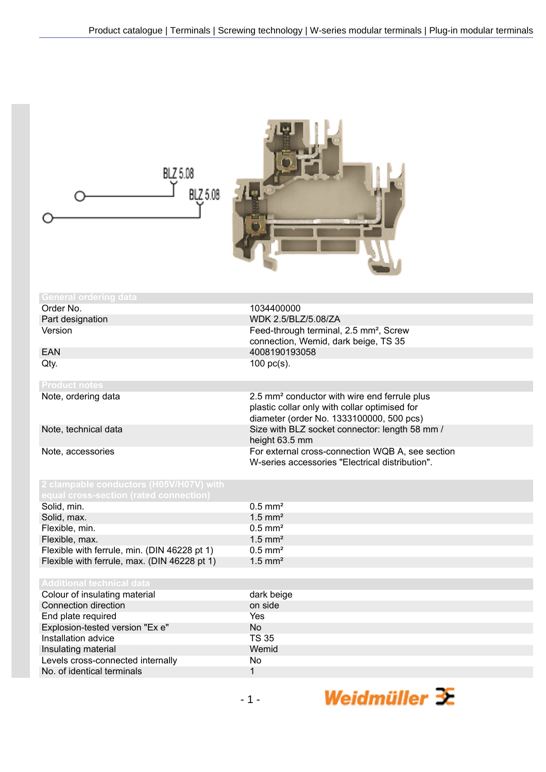| BLZ 5.08<br>BLZ 5.08                                                              |                                                                    |
|-----------------------------------------------------------------------------------|--------------------------------------------------------------------|
| <b>General ordering data</b>                                                      |                                                                    |
| Order No.                                                                         | 1034400000                                                         |
| Part designation                                                                  | WDK 2.5/BLZ/5.08/ZA                                                |
| Version                                                                           | Feed-through terminal, 2.5 mm <sup>2</sup> , Screw                 |
|                                                                                   | connection, Wemid, dark beige, TS 35                               |
| <b>EAN</b>                                                                        | 4008190193058                                                      |
| Qty.                                                                              | 100 $pc(s)$ .                                                      |
|                                                                                   |                                                                    |
| <b>Product notes</b>                                                              |                                                                    |
| Note, ordering data                                                               | 2.5 mm <sup>2</sup> conductor with wire end ferrule plus           |
|                                                                                   | plastic collar only with collar optimised for                      |
|                                                                                   | diameter (order No. 1333100000, 500 pcs)                           |
| Note, technical data                                                              | Size with BLZ socket connector: length 58 mm /                     |
| Note, accessories                                                                 | height 63.5 mm<br>For external cross-connection WQB A, see section |
|                                                                                   | W-series accessories "Electrical distribution".                    |
|                                                                                   |                                                                    |
| 2 clampable conductors (H05V/H07V) with<br>equal cross-section (rated connection) |                                                                    |
| Solid, min.                                                                       | $0.5$ mm <sup>2</sup>                                              |
| Solid, max.                                                                       | $1.5$ mm <sup>2</sup>                                              |
| Flexible, min.                                                                    | $0.5$ mm <sup>2</sup>                                              |
| Flexible, max.                                                                    | $1.5$ mm <sup>2</sup>                                              |
| Flexible with ferrule, min. (DIN 46228 pt 1)                                      | $0.5$ mm <sup>2</sup>                                              |
| Flexible with ferrule, max. (DIN 46228 pt 1)                                      | $1.5$ mm <sup>2</sup>                                              |
|                                                                                   |                                                                    |
| <b>Additional technical data</b>                                                  |                                                                    |
| Colour of insulating material                                                     | dark beige                                                         |
| Connection direction                                                              | on side                                                            |
| End plate required                                                                | Yes                                                                |
| Explosion-tested version "Ex e"                                                   | No                                                                 |
| Installation advice                                                               | <b>TS 35</b>                                                       |
| Insulating material                                                               | Wemid                                                              |
| Levels cross-connected internally                                                 | No                                                                 |
| No. of identical terminals                                                        | $\mathbf{1}$                                                       |
|                                                                                   | Weidmüller $\mathbf{\mathbf{\mathbf{\mathbb{R}}}}$<br>$-1-$        |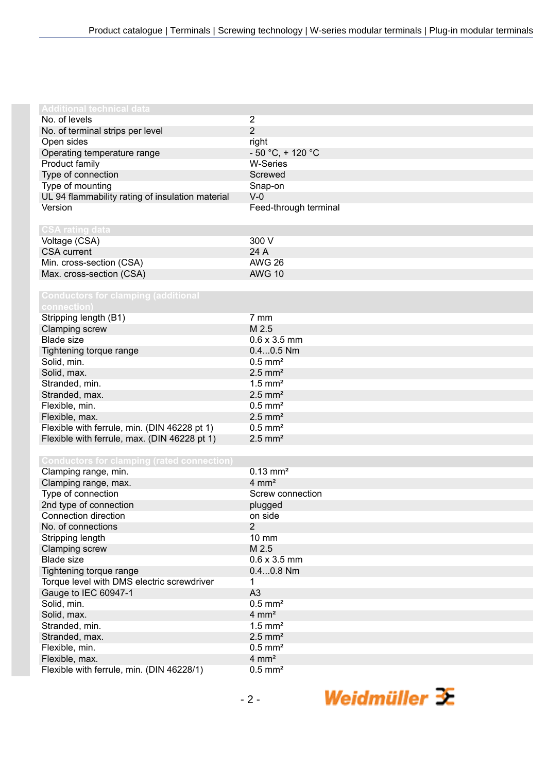| <b>Additional technical data</b>                            |                        |
|-------------------------------------------------------------|------------------------|
| No. of levels                                               | 2                      |
| No. of terminal strips per level                            | $\overline{2}$         |
| Open sides                                                  | right                  |
| Operating temperature range                                 | $-50 °C$ , + 120 °C    |
| Product family                                              | <b>W-Series</b>        |
| Type of connection                                          | Screwed                |
|                                                             |                        |
| Type of mounting                                            | Snap-on<br>$V-0$       |
| UL 94 flammability rating of insulation material<br>Version |                        |
|                                                             | Feed-through terminal  |
| <b>CSA rating data</b>                                      |                        |
| Voltage (CSA)                                               | 300 V                  |
| <b>CSA</b> current                                          | 24 A                   |
| Min. cross-section (CSA)                                    | <b>AWG 26</b>          |
| Max. cross-section (CSA)                                    | <b>AWG 10</b>          |
|                                                             |                        |
| <b>Conductors for clamping (additional</b><br>connection)   |                        |
| Stripping length (B1)                                       | 7 mm                   |
| <b>Clamping screw</b>                                       | M 2.5                  |
| <b>Blade size</b>                                           | $0.6 \times 3.5$ mm    |
| Tightening torque range                                     | $0.40.5$ Nm            |
| Solid, min.                                                 | $0.5$ mm <sup>2</sup>  |
| Solid, max.                                                 | $2.5$ mm <sup>2</sup>  |
| Stranded, min.                                              | $1.5$ mm <sup>2</sup>  |
| Stranded, max.                                              | $2.5$ mm <sup>2</sup>  |
| Flexible, min.                                              | $0.5$ mm <sup>2</sup>  |
| Flexible, max.                                              | $2.5$ mm <sup>2</sup>  |
| Flexible with ferrule, min. (DIN 46228 pt 1)                | $0.5$ mm <sup>2</sup>  |
|                                                             | $2.5$ mm <sup>2</sup>  |
| Flexible with ferrule, max. (DIN 46228 pt 1)                |                        |
| <b>Conductors for clamping (rated connection)</b>           |                        |
| Clamping range, min.                                        | $0.13$ mm <sup>2</sup> |
| Clamping range, max.                                        | $4 \, \text{mm}^2$     |
| Type of connection                                          | Screw connection       |
| 2nd type of connection                                      | plugged                |
| Connection direction                                        | on side                |
| No. of connections                                          | $\overline{2}$         |
| Stripping length                                            | 10 mm                  |
| Clamping screw                                              | M 2.5                  |
| <b>Blade size</b>                                           | $0.6 \times 3.5$ mm    |
| Tightening torque range                                     | $0.40.8$ Nm            |
| Torque level with DMS electric screwdriver                  | 1                      |
| Gauge to IEC 60947-1                                        | A <sub>3</sub>         |
| Solid, min.                                                 | $0.5$ mm <sup>2</sup>  |
| Solid, max.                                                 | $4 \, \text{mm}^2$     |
| Stranded, min.                                              | $1.5$ mm <sup>2</sup>  |
|                                                             | $2.5$ mm <sup>2</sup>  |
| Stranded, max.                                              | $0.5$ mm <sup>2</sup>  |
| Flexible, min.                                              |                        |
| Flexible, max.                                              | $4 \, \text{mm}^2$     |
| Flexible with ferrule, min. (DIN 46228/1)                   | $0.5$ mm <sup>2</sup>  |

Weidmüller 3E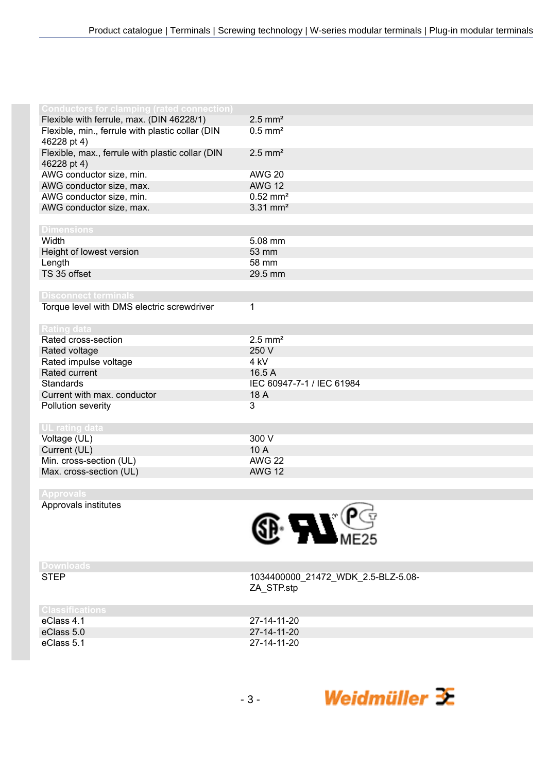| <b>Conductors for clamping (rated connection)</b> |                           |
|---------------------------------------------------|---------------------------|
| Flexible with ferrule, max. (DIN 46228/1)         | $2.5$ mm <sup>2</sup>     |
| Flexible, min., ferrule with plastic collar (DIN  | $0.5$ mm <sup>2</sup>     |
| 46228 pt 4)                                       |                           |
| Flexible, max., ferrule with plastic collar (DIN  | $2.5$ mm <sup>2</sup>     |
|                                                   |                           |
| 46228 pt 4)<br>AWG conductor size, min.           | <b>AWG 20</b>             |
|                                                   | <b>AWG 12</b>             |
| AWG conductor size, max.                          |                           |
| AWG conductor size, min.                          | $0.52$ mm <sup>2</sup>    |
| AWG conductor size, max.                          | $3.31$ mm <sup>2</sup>    |
|                                                   |                           |
| <b>Dimensions</b>                                 |                           |
| Width                                             | 5.08 mm                   |
| Height of lowest version                          | 53 mm                     |
| Length                                            | 58 mm                     |
| TS 35 offset                                      | 29.5 mm                   |
|                                                   |                           |
| <b>Disconnect terminals</b>                       |                           |
| Torque level with DMS electric screwdriver        | 1                         |
|                                                   |                           |
| <b>Rating data</b>                                |                           |
| Rated cross-section                               | $2.5$ mm <sup>2</sup>     |
| Rated voltage                                     | 250 V                     |
| Rated impulse voltage                             | 4 kV                      |
| Rated current                                     | 16.5 A                    |
| <b>Standards</b>                                  | IEC 60947-7-1 / IEC 61984 |
| Current with max. conductor                       | 18 A                      |
| Pollution severity                                | 3                         |
|                                                   |                           |
| <b>UL</b> rating data                             |                           |
| Voltage (UL)                                      | 300 V                     |
| Current (UL)                                      | 10A                       |
| Min. cross-section (UL)                           | <b>AWG 22</b>             |
| Max. cross-section (UL)                           | <b>AWG 12</b>             |
|                                                   |                           |
| <b>Approvals</b>                                  |                           |
| Approvals institutes                              | Â                         |



| ⊵ | ┍<br>⋷ | н. |  |  |
|---|--------|----|--|--|

STEP 1034400000\_21472\_WDK\_2.5-BLZ-5.08- ZA\_STP.stp

| U BISS MOBILIONS |             |
|------------------|-------------|
| eClass 4.1       | 27-14-11-20 |
| eClass 5.0       | 27-14-11-20 |
| eClass 5.1       | 27-14-11-20 |
|                  |             |